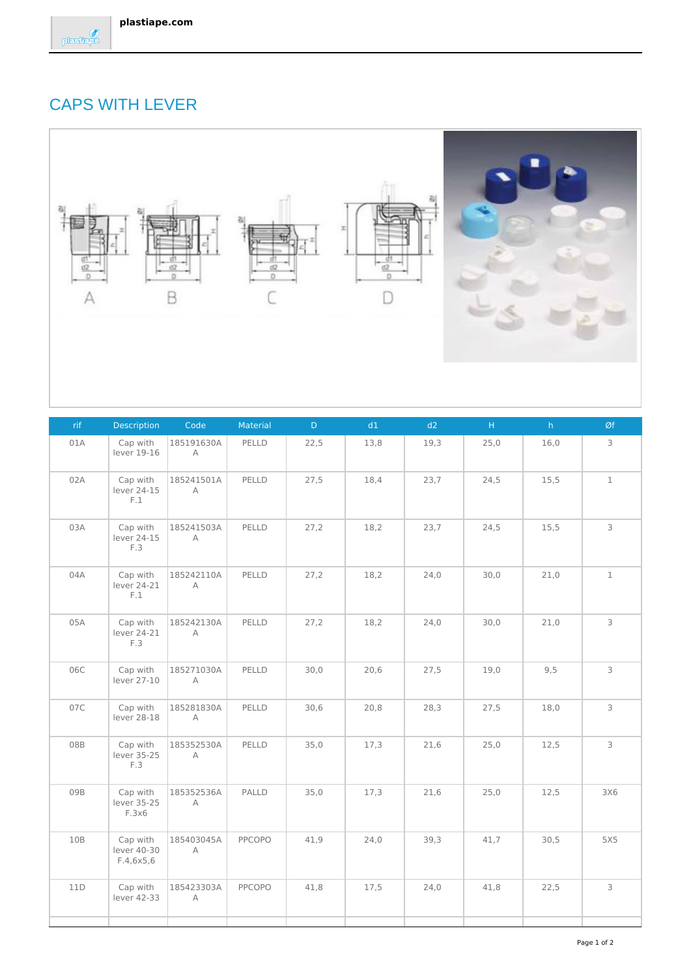## CAPS WITH LEVER



| rif | Description                          | Code                   | Material | $\mathsf{D}^+$ | d1   | d2   | $\mathsf{H}^+$ | $\mathsf{h}^+$ | Øf           |
|-----|--------------------------------------|------------------------|----------|----------------|------|------|----------------|----------------|--------------|
| 01A | Cap with<br>lever 19-16              | 185191630A<br>А        | PELLD    | 22,5           | 13,8 | 19,3 | 25,0           | 16,0           | 3            |
| 02A | Cap with<br>lever 24-15<br>F.1       | 185241501A<br>А        | PELLD    | 27,5           | 18,4 | 23,7 | 24,5           | 15,5           | $\mathbf 1$  |
| 03A | Cap with<br>lever 24-15<br>F.3       | 185241503A<br>$\wedge$ | PELLD    | 27,2           | 18,2 | 23,7 | 24,5           | 15,5           | 3            |
| 04A | Cap with<br>lever 24-21<br>F.1       | 185242110A<br>А        | PELLD    | 27,2           | 18,2 | 24,0 | 30,0           | 21,0           | $\mathbf{1}$ |
| 05A | Cap with<br>lever 24-21<br>F.3       | 185242130A<br>A        | PELLD    | 27,2           | 18,2 | 24,0 | 30,0           | 21,0           | $\mathsf 3$  |
| 06C | Cap with<br>lever 27-10              | 185271030A<br>А        | PELLD    | 30,0           | 20,6 | 27,5 | 19,0           | 9,5            | 3            |
| 07C | Cap with<br>lever 28-18              | 185281830A<br>A        | PELLD    | 30,6           | 20,8 | 28,3 | 27,5           | 18,0           | 3            |
| 08B | Cap with<br>lever 35-25<br>F.3       | 185352530A<br>A        | PELLD    | 35,0           | 17,3 | 21,6 | 25,0           | 12,5           | 3            |
| 09B | Cap with<br>lever 35-25<br>F.3x6     | 185352536A<br>А        | PALLD    | 35,0           | 17,3 | 21,6 | 25,0           | 12,5           | 3X6          |
| 10B | Cap with<br>lever 40-30<br>F.4,6x5,6 | 185403045A<br>A        | PPCOPO   | 41,9           | 24,0 | 39,3 | 41,7           | 30,5           | 5X5          |
| 11D | Cap with<br>lever 42-33              | 185423303A<br>A        | PPCOPO   | 41,8           | 17,5 | 24,0 | 41,8           | 22,5           | 3            |